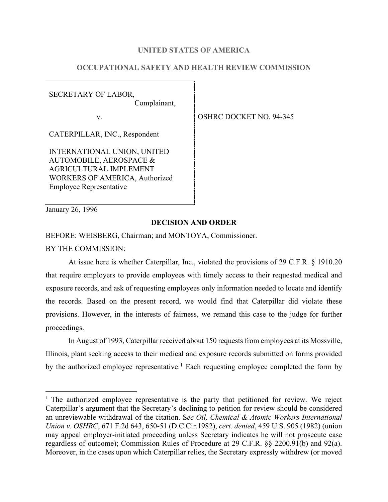## **UNITED STATES OF AMERICA**

# **OCCUPATIONAL SAFETY AND HEALTH REVIEW COMMISSION**

SECRETARY OF LABOR,

Complainant,

CATERPILLAR, INC., Respondent

INTERNATIONAL UNION, UNITED AUTOMOBILE, AEROSPACE & AGRICULTURAL IMPLEMENT WORKERS OF AMERICA, Authorized Employee Representative

v. STREET NO. 94-345

January 26, 1996

## **DECISION AND ORDER**

BEFORE: WEISBERG, Chairman; and MONTOYA, Commissioner.

BY THE COMMISSION:

At issue here is whether Caterpillar, Inc., violated the provisions of 29 C.F.R. § 1910.20 that require employers to provide employees with timely access to their requested medical and exposure records, and ask of requesting employees only information needed to locate and identify the records. Based on the present record, we would find that Caterpillar did violate these provisions. However, in the interests of fairness, we remand this case to the judge for further proceedings.

In August of 1993, Caterpillar received about 150 requests from employees at its Mossville, Illinois, plant seeking access to their medical and exposure records submitted on forms provided by the authorized employee representative.<sup>[1](#page-0-0)</sup> Each requesting employee completed the form by

<span id="page-0-0"></span><sup>1</sup> The authorized employee representative is the party that petitioned for review. We reject Caterpillar's argument that the Secretary's declining to petition for review should be considered an unreviewable withdrawal of the citation. S*ee Oil, Chemical & Atomic Workers International Union v. OSHRC*, 671 F.2d 643, 650-51 (D.C.Cir.1982), *cert. denied*, 459 U.S. 905 (1982) (union may appeal employer-initiated proceeding unless Secretary indicates he will not prosecute case regardless of outcome); Commission Rules of Procedure at 29 C.F.R. §§ 2200.91(b) and 92(a). Moreover, in the cases upon which Caterpillar relies, the Secretary expressly withdrew (or moved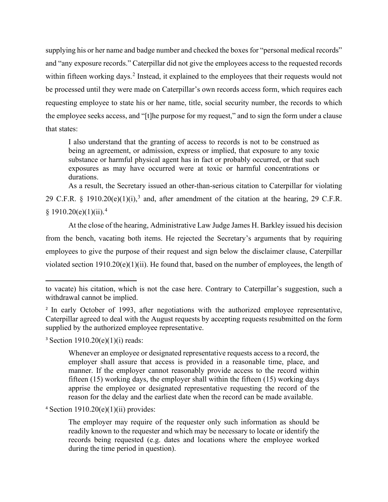supplying his or her name and badge number and checked the boxes for "personal medical records" and "any exposure records." Caterpillar did not give the employees access to the requested records within fifteen working days.<sup>[2](#page-1-0)</sup> Instead, it explained to the employees that their requests would not be processed until they were made on Caterpillar's own records access form, which requires each requesting employee to state his or her name, title, social security number, the records to which the employee seeks access, and "[t]he purpose for my request," and to sign the form under a clause that states:

I also understand that the granting of access to records is not to be construed as being an agreement, or admission, express or implied, that exposure to any toxic substance or harmful physical agent has in fact or probably occurred, or that such exposures as may have occurred were at toxic or harmful concentrations or durations.

As a result, the Secretary issued an other-than-serious citation to Caterpillar for violating 29 C.F.R. § 1910.20(e)(1)(i),<sup>[3](#page-1-1)</sup> and, after amendment of the citation at the hearing, 29 C.F.R.  $§ 1910.20(e)(1)(ii).<sup>4</sup>$  $§ 1910.20(e)(1)(ii).<sup>4</sup>$  $§ 1910.20(e)(1)(ii).<sup>4</sup>$ 

At the close of the hearing, Administrative Law Judge James H. Barkley issued his decision from the bench, vacating both items. He rejected the Secretary's arguments that by requiring employees to give the purpose of their request and sign below the disclaimer clause, Caterpillar violated section 1910.20(e)(1)(ii). He found that, based on the number of employees, the length of

<span id="page-1-1"></span> $3$  Section 1910.20(e)(1)(i) reads:

Whenever an employee or designated representative requests access to a record, the employer shall assure that access is provided in a reasonable time, place, and manner. If the employer cannot reasonably provide access to the record within fifteen (15) working days, the employer shall within the fifteen (15) working days apprise the employee or designated representative requesting the record of the reason for the delay and the earliest date when the record can be made available.

<span id="page-1-2"></span> $4$  Section 1910.20(e)(1)(ii) provides:

The employer may require of the requester only such information as should be readily known to the requester and which may be necessary to locate or identify the records being requested (e.g. dates and locations where the employee worked during the time period in question).

to vacate) his citation, which is not the case here. Contrary to Caterpillar's suggestion, such a withdrawal cannot be implied.

<span id="page-1-0"></span><sup>&</sup>lt;sup>2</sup> In early October of 1993, after negotiations with the authorized employee representative, Caterpillar agreed to deal with the August requests by accepting requests resubmitted on the form supplied by the authorized employee representative.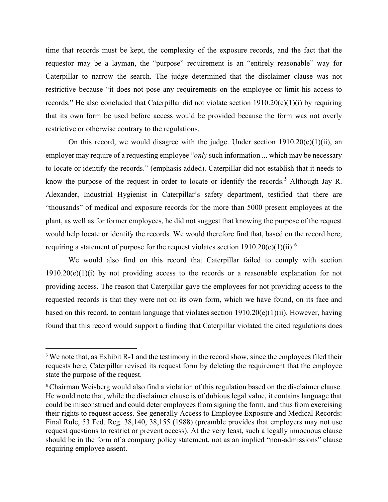time that records must be kept, the complexity of the exposure records, and the fact that the requestor may be a layman, the "purpose" requirement is an "entirely reasonable" way for Caterpillar to narrow the search. The judge determined that the disclaimer clause was not restrictive because "it does not pose any requirements on the employee or limit his access to records." He also concluded that Caterpillar did not violate section 1910.20(e)(1)(i) by requiring that its own form be used before access would be provided because the form was not overly restrictive or otherwise contrary to the regulations.

On this record, we would disagree with the judge. Under section  $1910.20(e)(1)(ii)$ , an employer may require of a requesting employee "*only* such information ... which may be necessary to locate or identify the records." (emphasis added). Caterpillar did not establish that it needs to know the purpose of the request in order to locate or identify the records.<sup>[5](#page-2-0)</sup> Although Jay R. Alexander, Industrial Hygienist in Caterpillar's safety department, testified that there are "thousands" of medical and exposure records for the more than 5000 present employees at the plant, as well as for former employees, he did not suggest that knowing the purpose of the request would help locate or identify the records. We would therefore find that, based on the record here, requiring a statement of purpose for the request violates section  $1910.20(e)(1)(ii)$ .<sup>[6](#page-2-1)</sup>

We would also find on this record that Caterpillar failed to comply with section  $1910.20(e)(1)(i)$  by not providing access to the records or a reasonable explanation for not providing access. The reason that Caterpillar gave the employees for not providing access to the requested records is that they were not on its own form, which we have found, on its face and based on this record, to contain language that violates section 1910.20(e)(1)(ii). However, having found that this record would support a finding that Caterpillar violated the cited regulations does

<span id="page-2-0"></span><sup>&</sup>lt;sup>5</sup> We note that, as Exhibit R-1 and the testimony in the record show, since the employees filed their requests here, Caterpillar revised its request form by deleting the requirement that the employee state the purpose of the request.

<span id="page-2-1"></span><sup>&</sup>lt;sup>6</sup> Chairman Weisberg would also find a violation of this regulation based on the disclaimer clause. He would note that, while the disclaimer clause is of dubious legal value, it contains language that could be misconstrued and could deter employees from signing the form, and thus from exercising their rights to request access. See generally Access to Employee Exposure and Medical Records: Final Rule, 53 Fed. Reg. 38,140, 38,155 (1988) (preamble provides that employers may not use request questions to restrict or prevent access). At the very least, such a legally innocuous clause should be in the form of a company policy statement, not as an implied "non-admissions" clause requiring employee assent.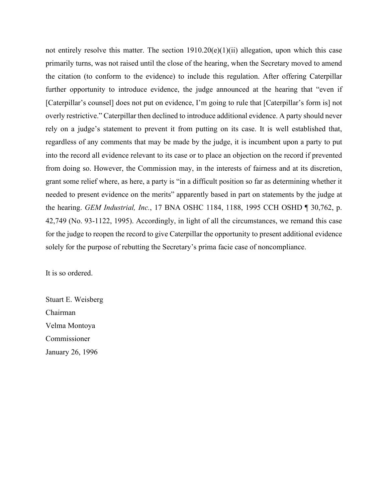not entirely resolve this matter. The section  $1910.20(e)(1)(ii)$  allegation, upon which this case primarily turns, was not raised until the close of the hearing, when the Secretary moved to amend the citation (to conform to the evidence) to include this regulation. After offering Caterpillar further opportunity to introduce evidence, the judge announced at the hearing that "even if [Caterpillar's counsel] does not put on evidence, I'm going to rule that [Caterpillar's form is] not overly restrictive." Caterpillar then declined to introduce additional evidence. A party should never rely on a judge's statement to prevent it from putting on its case. It is well established that, regardless of any comments that may be made by the judge, it is incumbent upon a party to put into the record all evidence relevant to its case or to place an objection on the record if prevented from doing so. However, the Commission may, in the interests of fairness and at its discretion, grant some relief where, as here, a party is "in a difficult position so far as determining whether it needed to present evidence on the merits" apparently based in part on statements by the judge at the hearing. *GEM Industrial, Inc.*, 17 BNA OSHC 1184, 1188, 1995 CCH OSHD ¶ 30,762, p. 42,749 (No. 93-1122, 1995). Accordingly, in light of all the circumstances, we remand this case for the judge to reopen the record to give Caterpillar the opportunity to present additional evidence solely for the purpose of rebutting the Secretary's prima facie case of noncompliance.

It is so ordered.

Stuart E. Weisberg Chairman Velma Montoya Commissioner January 26, 1996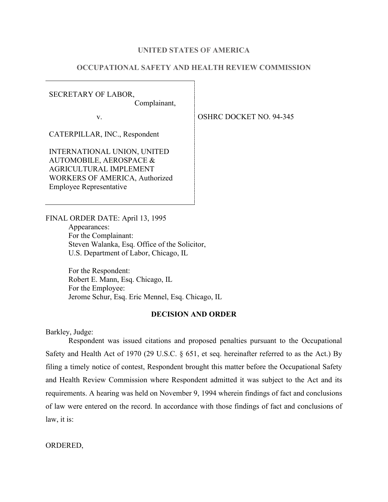#### **UNITED STATES OF AMERICA**

# **OCCUPATIONAL SAFETY AND HEALTH REVIEW COMMISSION**

SECRETARY OF LABOR,

Complainant,

CATERPILLAR, INC., Respondent

INTERNATIONAL UNION, UNITED AUTOMOBILE, AEROSPACE & AGRICULTURAL IMPLEMENT WORKERS OF AMERICA, Authorized Employee Representative

v. STREET NO. 94-345

FINAL ORDER DATE: April 13, 1995 Appearances: For the Complainant: Steven Walanka, Esq. Office of the Solicitor, U.S. Department of Labor, Chicago, IL

> For the Respondent: Robert E. Mann, Esq. Chicago, IL For the Employee: Jerome Schur, Esq. Eric Mennel, Esq. Chicago, IL

### **DECISION AND ORDER**

Barkley, Judge:

Respondent was issued citations and proposed penalties pursuant to the Occupational Safety and Health Act of 1970 (29 U.S.C. § 651, et seq. hereinafter referred to as the Act.) By filing a timely notice of contest, Respondent brought this matter before the Occupational Safety and Health Review Commission where Respondent admitted it was subject to the Act and its requirements. A hearing was held on November 9, 1994 wherein findings of fact and conclusions of law were entered on the record. In accordance with those findings of fact and conclusions of law, it is:

ORDERED,